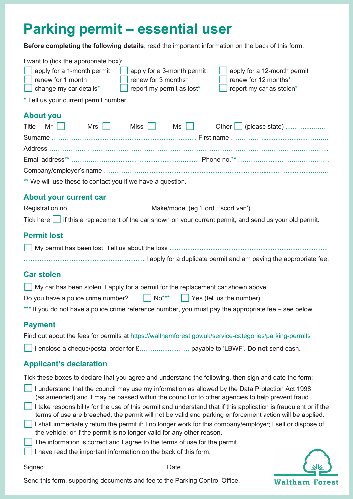# **Parking permit – essential user**

**Before completing the following details**, read the important information on the back of this form.

| I want to (tick the appropriate box):<br>apply for a 1-month permit<br>apply for a 3-month permit<br>apply for a 12-month permit<br>renew for 12 months*<br>renew for 1 month*<br>renew for 3 months*<br>report my permit as lost*<br>report my car as stolen*<br>change my car details*                                                                                                                                                                                                                                                                                                                                                                                                                                                                                    |  |  |  |
|-----------------------------------------------------------------------------------------------------------------------------------------------------------------------------------------------------------------------------------------------------------------------------------------------------------------------------------------------------------------------------------------------------------------------------------------------------------------------------------------------------------------------------------------------------------------------------------------------------------------------------------------------------------------------------------------------------------------------------------------------------------------------------|--|--|--|
|                                                                                                                                                                                                                                                                                                                                                                                                                                                                                                                                                                                                                                                                                                                                                                             |  |  |  |
| <b>About you</b><br>Mr $\vert$ $\vert$<br>$Mrs$    <br>Miss    <br>Ms    <br>Other   (please state)<br>Title                                                                                                                                                                                                                                                                                                                                                                                                                                                                                                                                                                                                                                                                |  |  |  |
|                                                                                                                                                                                                                                                                                                                                                                                                                                                                                                                                                                                                                                                                                                                                                                             |  |  |  |
| ** We will use these to contact you if we have a question.                                                                                                                                                                                                                                                                                                                                                                                                                                                                                                                                                                                                                                                                                                                  |  |  |  |
| <b>About your current car</b><br>Tick here $\Box$ if this a replacement of the car shown on your current permit, and send us your old permit.                                                                                                                                                                                                                                                                                                                                                                                                                                                                                                                                                                                                                               |  |  |  |
| <b>Permit lost</b>                                                                                                                                                                                                                                                                                                                                                                                                                                                                                                                                                                                                                                                                                                                                                          |  |  |  |
|                                                                                                                                                                                                                                                                                                                                                                                                                                                                                                                                                                                                                                                                                                                                                                             |  |  |  |
| <b>Car stolen</b>                                                                                                                                                                                                                                                                                                                                                                                                                                                                                                                                                                                                                                                                                                                                                           |  |  |  |
| My car has been stolen. I apply for a permit for the replacement car shown above.                                                                                                                                                                                                                                                                                                                                                                                                                                                                                                                                                                                                                                                                                           |  |  |  |
| Do you have a police crime number? $\vert$ $\vert$ No <sup>***</sup>                                                                                                                                                                                                                                                                                                                                                                                                                                                                                                                                                                                                                                                                                                        |  |  |  |
| *** If you do not have a police crime reference number, you must pay the appropriate fee – see below.                                                                                                                                                                                                                                                                                                                                                                                                                                                                                                                                                                                                                                                                       |  |  |  |
| <b>Payment</b><br>Find out about the fees for permits at https://walthamforest.gov.uk/service-categories/parking-permits                                                                                                                                                                                                                                                                                                                                                                                                                                                                                                                                                                                                                                                    |  |  |  |
|                                                                                                                                                                                                                                                                                                                                                                                                                                                                                                                                                                                                                                                                                                                                                                             |  |  |  |
| <b>Applicant's declaration</b>                                                                                                                                                                                                                                                                                                                                                                                                                                                                                                                                                                                                                                                                                                                                              |  |  |  |
| Tick these boxes to declare that you agree and understand the following, then sign and date the form:                                                                                                                                                                                                                                                                                                                                                                                                                                                                                                                                                                                                                                                                       |  |  |  |
| I understand that the council may use my information as allowed by the Data Protection Act 1998<br>(as amended) and it may be passed within the council or to other agencies to help prevent fraud.<br>I take responsibility for the use of this permit and understand that if this application is fraudulent or if the<br>terms of use are breached, the permit will not be valid and parking enforcement action will be applied.<br>I shall immediately return the permit if: I no longer work for this company/employer; I sell or dispose of<br>the vehicle; or if the permit is no longer valid for any other reason.<br>The information is correct and I agree to the terms of use for the permit.<br>I have read the important information on the back of this form. |  |  |  |
|                                                                                                                                                                                                                                                                                                                                                                                                                                                                                                                                                                                                                                                                                                                                                                             |  |  |  |

**Waltham Forest** 

Send this form, supporting documents and fee to the Parking Control Office.